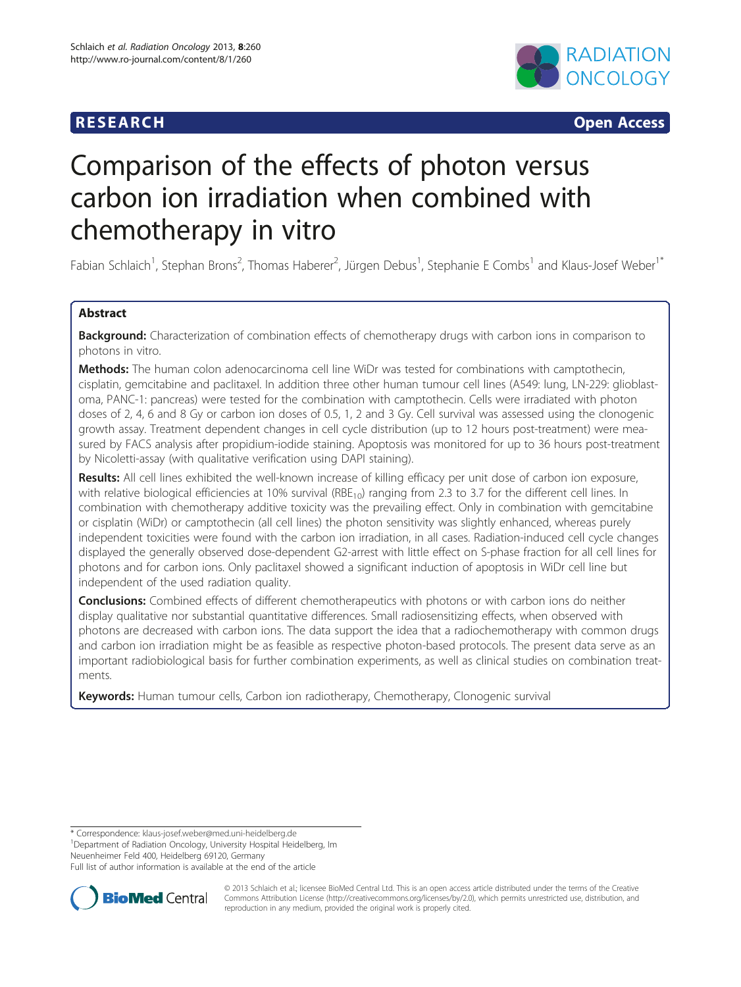

**RESEARCH CHINESEARCH CHINESEARCH** 

# Comparison of the effects of photon versus carbon ion irradiation when combined with chemotherapy in vitro

Fabian Schlaich<sup>1</sup>, Stephan Brons<sup>2</sup>, Thomas Haberer<sup>2</sup>, Jürgen Debus<sup>1</sup>, Stephanie E Combs<sup>1</sup> and Klaus-Josef Weber<sup>1\*</sup>

# Abstract

Background: Characterization of combination effects of chemotherapy drugs with carbon ions in comparison to photons in vitro.

Methods: The human colon adenocarcinoma cell line WiDr was tested for combinations with camptothecin, cisplatin, gemcitabine and paclitaxel. In addition three other human tumour cell lines (A549: lung, LN-229: glioblastoma, PANC-1: pancreas) were tested for the combination with camptothecin. Cells were irradiated with photon doses of 2, 4, 6 and 8 Gy or carbon ion doses of 0.5, 1, 2 and 3 Gy. Cell survival was assessed using the clonogenic growth assay. Treatment dependent changes in cell cycle distribution (up to 12 hours post-treatment) were measured by FACS analysis after propidium-iodide staining. Apoptosis was monitored for up to 36 hours post-treatment by Nicoletti-assay (with qualitative verification using DAPI staining).

Results: All cell lines exhibited the well-known increase of killing efficacy per unit dose of carbon ion exposure, with relative biological efficiencies at 10% survival ( $RBE<sub>10</sub>$ ) ranging from 2.3 to 3.7 for the different cell lines. In combination with chemotherapy additive toxicity was the prevailing effect. Only in combination with gemcitabine or cisplatin (WiDr) or camptothecin (all cell lines) the photon sensitivity was slightly enhanced, whereas purely independent toxicities were found with the carbon ion irradiation, in all cases. Radiation-induced cell cycle changes displayed the generally observed dose-dependent G2-arrest with little effect on S-phase fraction for all cell lines for photons and for carbon ions. Only paclitaxel showed a significant induction of apoptosis in WiDr cell line but independent of the used radiation quality.

**Conclusions:** Combined effects of different chemotherapeutics with photons or with carbon ions do neither display qualitative nor substantial quantitative differences. Small radiosensitizing effects, when observed with photons are decreased with carbon ions. The data support the idea that a radiochemotherapy with common drugs and carbon ion irradiation might be as feasible as respective photon-based protocols. The present data serve as an important radiobiological basis for further combination experiments, as well as clinical studies on combination treatments.

Keywords: Human tumour cells, Carbon ion radiotherapy, Chemotherapy, Clonogenic survival

<sup>1</sup>Department of Radiation Oncology, University Hospital Heidelberg, Im Neuenheimer Feld 400, Heidelberg 69120, Germany

Full list of author information is available at the end of the article



© 2013 Schlaich et al.; licensee BioMed Central Ltd. This is an open access article distributed under the terms of the Creative Commons Attribution License [\(http://creativecommons.org/licenses/by/2.0\)](http://creativecommons.org/licenses/by/2.0), which permits unrestricted use, distribution, and reproduction in any medium, provided the original work is properly cited.

<sup>\*</sup> Correspondence: [klaus-josef.weber@med.uni-heidelberg.de](mailto:klaus-josef.weber@med.uni-heidelberg.de) <sup>1</sup>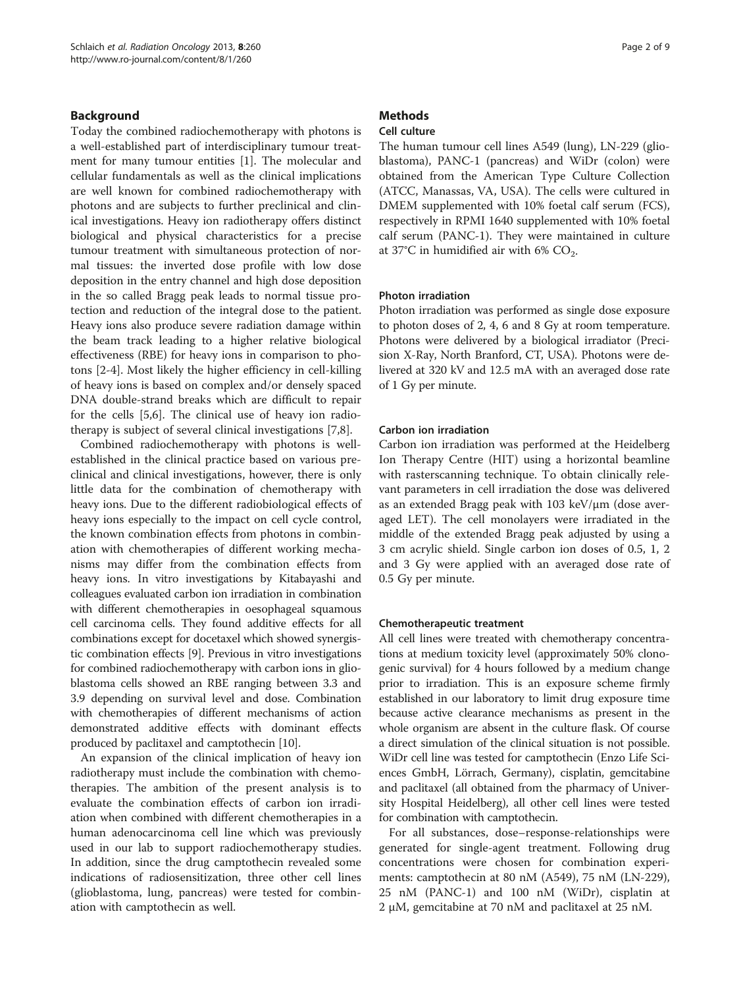# Background

Today the combined radiochemotherapy with photons is a well-established part of interdisciplinary tumour treatment for many tumour entities [\[1\]](#page-7-0). The molecular and cellular fundamentals as well as the clinical implications are well known for combined radiochemotherapy with photons and are subjects to further preclinical and clinical investigations. Heavy ion radiotherapy offers distinct biological and physical characteristics for a precise tumour treatment with simultaneous protection of normal tissues: the inverted dose profile with low dose deposition in the entry channel and high dose deposition in the so called Bragg peak leads to normal tissue protection and reduction of the integral dose to the patient. Heavy ions also produce severe radiation damage within the beam track leading to a higher relative biological effectiveness (RBE) for heavy ions in comparison to photons [\[2](#page-7-0)-[4\]](#page-7-0). Most likely the higher efficiency in cell-killing of heavy ions is based on complex and/or densely spaced DNA double-strand breaks which are difficult to repair for the cells [\[5,6](#page-7-0)]. The clinical use of heavy ion radiotherapy is subject of several clinical investigations [\[7,8](#page-7-0)].

Combined radiochemotherapy with photons is wellestablished in the clinical practice based on various preclinical and clinical investigations, however, there is only little data for the combination of chemotherapy with heavy ions. Due to the different radiobiological effects of heavy ions especially to the impact on cell cycle control, the known combination effects from photons in combination with chemotherapies of different working mechanisms may differ from the combination effects from heavy ions. In vitro investigations by Kitabayashi and colleagues evaluated carbon ion irradiation in combination with different chemotherapies in oesophageal squamous cell carcinoma cells. They found additive effects for all combinations except for docetaxel which showed synergistic combination effects [\[9](#page-7-0)]. Previous in vitro investigations for combined radiochemotherapy with carbon ions in glioblastoma cells showed an RBE ranging between 3.3 and 3.9 depending on survival level and dose. Combination with chemotherapies of different mechanisms of action demonstrated additive effects with dominant effects produced by paclitaxel and camptothecin [\[10\]](#page-7-0).

An expansion of the clinical implication of heavy ion radiotherapy must include the combination with chemotherapies. The ambition of the present analysis is to evaluate the combination effects of carbon ion irradiation when combined with different chemotherapies in a human adenocarcinoma cell line which was previously used in our lab to support radiochemotherapy studies. In addition, since the drug camptothecin revealed some indications of radiosensitization, three other cell lines (glioblastoma, lung, pancreas) were tested for combination with camptothecin as well.

# **Methods**

# Cell culture

The human tumour cell lines A549 (lung), LN-229 (glioblastoma), PANC-1 (pancreas) and WiDr (colon) were obtained from the American Type Culture Collection (ATCC, Manassas, VA, USA). The cells were cultured in DMEM supplemented with 10% foetal calf serum (FCS), respectively in RPMI 1640 supplemented with 10% foetal calf serum (PANC-1). They were maintained in culture at 37°C in humidified air with 6%  $CO<sub>2</sub>$ .

# Photon irradiation

Photon irradiation was performed as single dose exposure to photon doses of 2, 4, 6 and 8 Gy at room temperature. Photons were delivered by a biological irradiator (Precision X-Ray, North Branford, CT, USA). Photons were delivered at 320 kV and 12.5 mA with an averaged dose rate of 1 Gy per minute.

# Carbon ion irradiation

Carbon ion irradiation was performed at the Heidelberg Ion Therapy Centre (HIT) using a horizontal beamline with rasterscanning technique. To obtain clinically relevant parameters in cell irradiation the dose was delivered as an extended Bragg peak with 103 keV/μm (dose averaged LET). The cell monolayers were irradiated in the middle of the extended Bragg peak adjusted by using a 3 cm acrylic shield. Single carbon ion doses of 0.5, 1, 2 and 3 Gy were applied with an averaged dose rate of 0.5 Gy per minute.

### Chemotherapeutic treatment

All cell lines were treated with chemotherapy concentrations at medium toxicity level (approximately 50% clonogenic survival) for 4 hours followed by a medium change prior to irradiation. This is an exposure scheme firmly established in our laboratory to limit drug exposure time because active clearance mechanisms as present in the whole organism are absent in the culture flask. Of course a direct simulation of the clinical situation is not possible. WiDr cell line was tested for camptothecin (Enzo Life Sciences GmbH, Lörrach, Germany), cisplatin, gemcitabine and paclitaxel (all obtained from the pharmacy of University Hospital Heidelberg), all other cell lines were tested for combination with camptothecin.

For all substances, dose–response-relationships were generated for single-agent treatment. Following drug concentrations were chosen for combination experiments: camptothecin at 80 nM (A549), 75 nM (LN-229), 25 nM (PANC-1) and 100 nM (WiDr), cisplatin at 2 μM, gemcitabine at 70 nM and paclitaxel at 25 nM.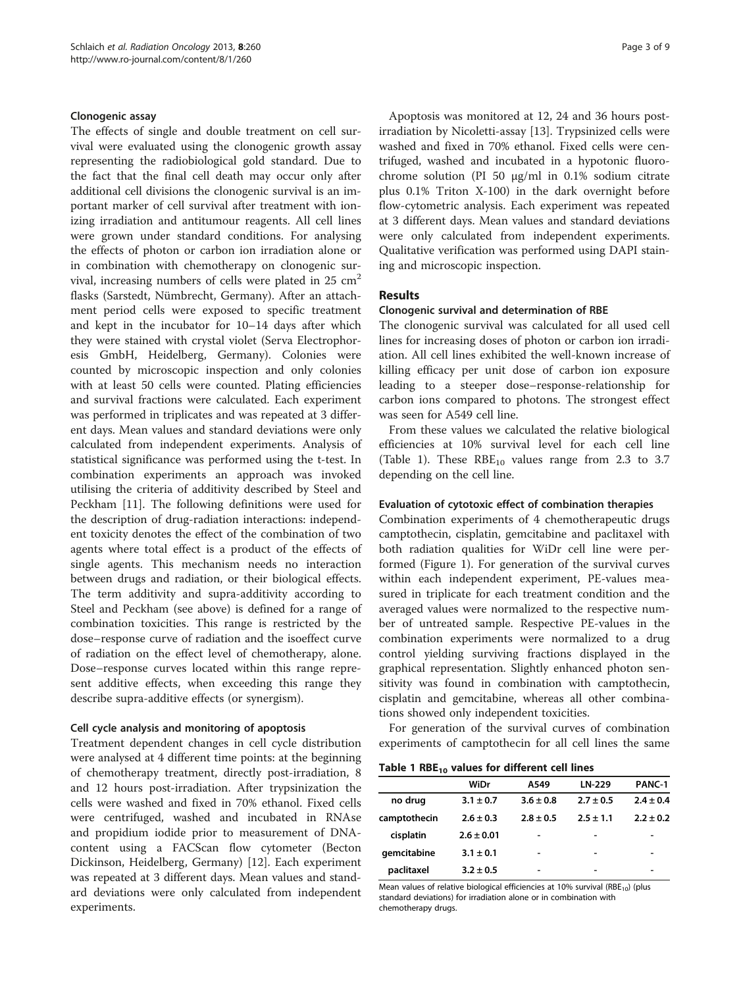#### <span id="page-2-0"></span>Clonogenic assay

The effects of single and double treatment on cell survival were evaluated using the clonogenic growth assay representing the radiobiological gold standard. Due to the fact that the final cell death may occur only after additional cell divisions the clonogenic survival is an important marker of cell survival after treatment with ionizing irradiation and antitumour reagents. All cell lines were grown under standard conditions. For analysing the effects of photon or carbon ion irradiation alone or in combination with chemotherapy on clonogenic survival, increasing numbers of cells were plated in  $25 \text{ cm}^2$ flasks (Sarstedt, Nümbrecht, Germany). After an attachment period cells were exposed to specific treatment and kept in the incubator for 10–14 days after which they were stained with crystal violet (Serva Electrophoresis GmbH, Heidelberg, Germany). Colonies were counted by microscopic inspection and only colonies with at least 50 cells were counted. Plating efficiencies and survival fractions were calculated. Each experiment was performed in triplicates and was repeated at 3 different days. Mean values and standard deviations were only calculated from independent experiments. Analysis of statistical significance was performed using the t-test. In combination experiments an approach was invoked utilising the criteria of additivity described by Steel and Peckham [[11](#page-7-0)]. The following definitions were used for the description of drug-radiation interactions: independent toxicity denotes the effect of the combination of two agents where total effect is a product of the effects of single agents. This mechanism needs no interaction between drugs and radiation, or their biological effects. The term additivity and supra-additivity according to Steel and Peckham (see above) is defined for a range of combination toxicities. This range is restricted by the dose–response curve of radiation and the isoeffect curve of radiation on the effect level of chemotherapy, alone. Dose–response curves located within this range represent additive effects, when exceeding this range they describe supra-additive effects (or synergism).

#### Cell cycle analysis and monitoring of apoptosis

Treatment dependent changes in cell cycle distribution were analysed at 4 different time points: at the beginning of chemotherapy treatment, directly post-irradiation, 8 and 12 hours post-irradiation. After trypsinization the cells were washed and fixed in 70% ethanol. Fixed cells were centrifuged, washed and incubated in RNAse and propidium iodide prior to measurement of DNAcontent using a FACScan flow cytometer (Becton Dickinson, Heidelberg, Germany) [\[12\]](#page-7-0). Each experiment was repeated at 3 different days. Mean values and standard deviations were only calculated from independent experiments.

Apoptosis was monitored at 12, 24 and 36 hours postirradiation by Nicoletti-assay [\[13\]](#page-7-0). Trypsinized cells were washed and fixed in 70% ethanol. Fixed cells were centrifuged, washed and incubated in a hypotonic fluorochrome solution (PI 50 μg/ml in 0.1% sodium citrate plus 0.1% Triton X-100) in the dark overnight before flow-cytometric analysis. Each experiment was repeated at 3 different days. Mean values and standard deviations were only calculated from independent experiments. Qualitative verification was performed using DAPI staining and microscopic inspection.

### Results

#### Clonogenic survival and determination of RBE

The clonogenic survival was calculated for all used cell lines for increasing doses of photon or carbon ion irradiation. All cell lines exhibited the well-known increase of killing efficacy per unit dose of carbon ion exposure leading to a steeper dose–response-relationship for carbon ions compared to photons. The strongest effect was seen for A549 cell line.

From these values we calculated the relative biological efficiencies at 10% survival level for each cell line (Table 1). These  $RBE_{10}$  values range from 2.3 to 3.7 depending on the cell line.

# Evaluation of cytotoxic effect of combination therapies

Combination experiments of 4 chemotherapeutic drugs camptothecin, cisplatin, gemcitabine and paclitaxel with both radiation qualities for WiDr cell line were performed (Figure [1](#page-3-0)). For generation of the survival curves within each independent experiment, PE-values measured in triplicate for each treatment condition and the averaged values were normalized to the respective number of untreated sample. Respective PE-values in the combination experiments were normalized to a drug control yielding surviving fractions displayed in the graphical representation. Slightly enhanced photon sensitivity was found in combination with camptothecin, cisplatin and gemcitabine, whereas all other combinations showed only independent toxicities.

For generation of the survival curves of combination experiments of camptothecin for all cell lines the same

Table 1 RBE<sub>10</sub> values for different cell lines

|              | WiDr           | A549          | <b>LN-229</b> | <b>PANC-1</b> |
|--------------|----------------|---------------|---------------|---------------|
| no drug      | $3.1 \pm 0.7$  | $3.6 \pm 0.8$ | $2.7 \pm 0.5$ | $2.4 \pm 0.4$ |
| camptothecin | $2.6 \pm 0.3$  | $2.8 \pm 0.5$ | $2.5 \pm 1.1$ | $2.2 \pm 0.2$ |
| cisplatin    | $2.6 \pm 0.01$ |               | -             |               |
| qemcitabine  | $3.1 \pm 0.1$  |               | -             |               |
| paclitaxel   | $3.2 \pm 0.5$  |               | -             |               |

Mean values of relative biological efficiencies at 10% survival (RBE<sub>10</sub>) (plus standard deviations) for irradiation alone or in combination with chemotherapy drugs.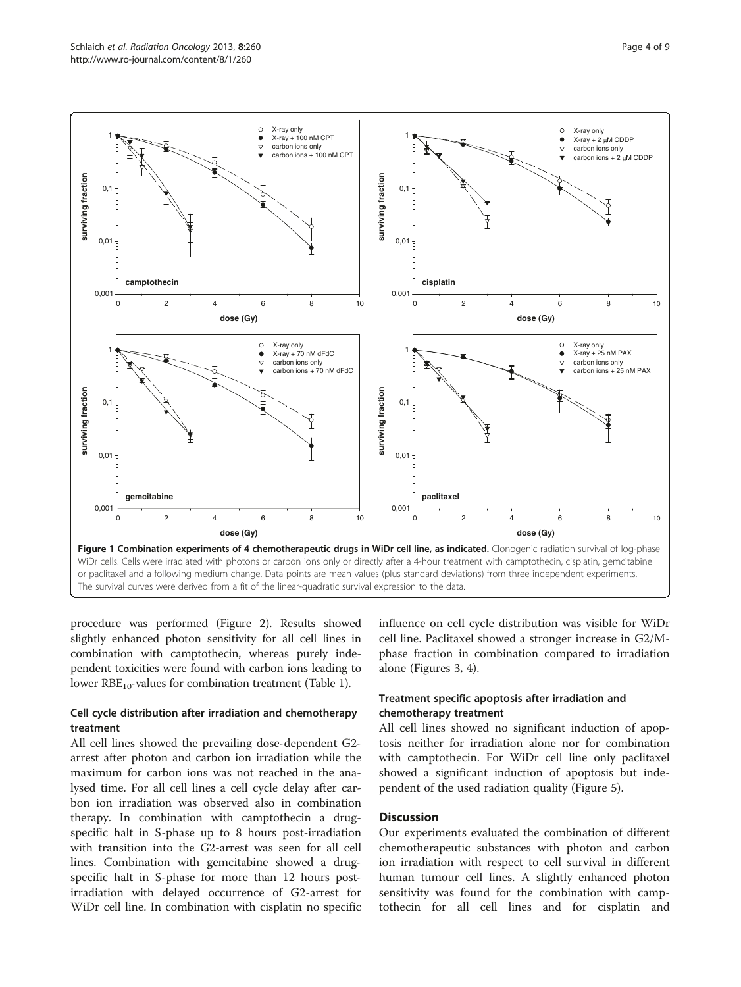<span id="page-3-0"></span>

procedure was performed (Figure [2\)](#page-4-0). Results showed slightly enhanced photon sensitivity for all cell lines in combination with camptothecin, whereas purely independent toxicities were found with carbon ions leading to lower  $RBE_{10}$ -values for combination treatment (Table [1](#page-2-0)).

# Cell cycle distribution after irradiation and chemotherapy treatment

All cell lines showed the prevailing dose-dependent G2 arrest after photon and carbon ion irradiation while the maximum for carbon ions was not reached in the analysed time. For all cell lines a cell cycle delay after carbon ion irradiation was observed also in combination therapy. In combination with camptothecin a drugspecific halt in S-phase up to 8 hours post-irradiation with transition into the G2-arrest was seen for all cell lines. Combination with gemcitabine showed a drugspecific halt in S-phase for more than 12 hours postirradiation with delayed occurrence of G2-arrest for WiDr cell line. In combination with cisplatin no specific

influence on cell cycle distribution was visible for WiDr cell line. Paclitaxel showed a stronger increase in G2/Mphase fraction in combination compared to irradiation alone (Figures [3](#page-4-0), [4](#page-5-0)).

# Treatment specific apoptosis after irradiation and chemotherapy treatment

All cell lines showed no significant induction of apoptosis neither for irradiation alone nor for combination with camptothecin. For WiDr cell line only paclitaxel showed a significant induction of apoptosis but independent of the used radiation quality (Figure [5](#page-5-0)).

# **Discussion**

Our experiments evaluated the combination of different chemotherapeutic substances with photon and carbon ion irradiation with respect to cell survival in different human tumour cell lines. A slightly enhanced photon sensitivity was found for the combination with camptothecin for all cell lines and for cisplatin and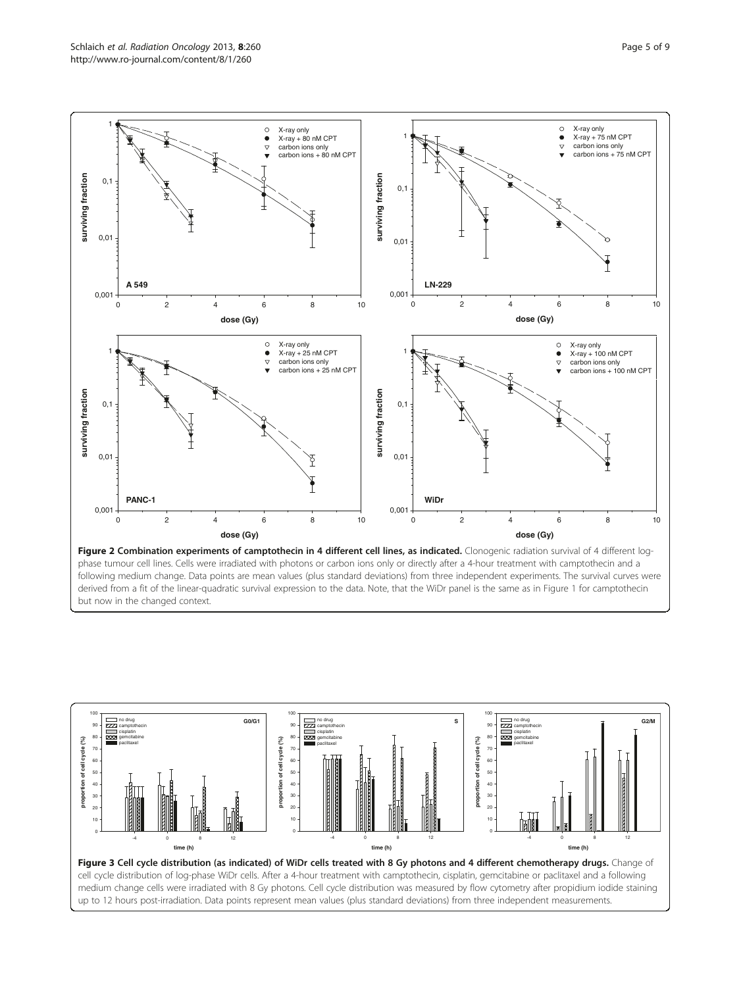<span id="page-4-0"></span>

phase tumour cell lines. Cells were irradiated with photons or carbon ions only or directly after a 4-hour treatment with camptothecin and a following medium change. Data points are mean values (plus standard deviations) from three independent experiments. The survival curves were derived from a fit of the linear-quadratic survival expression to the data. Note, that the WiDr panel is the same as in Figure [1](#page-3-0) for camptothecin but now in the changed context.

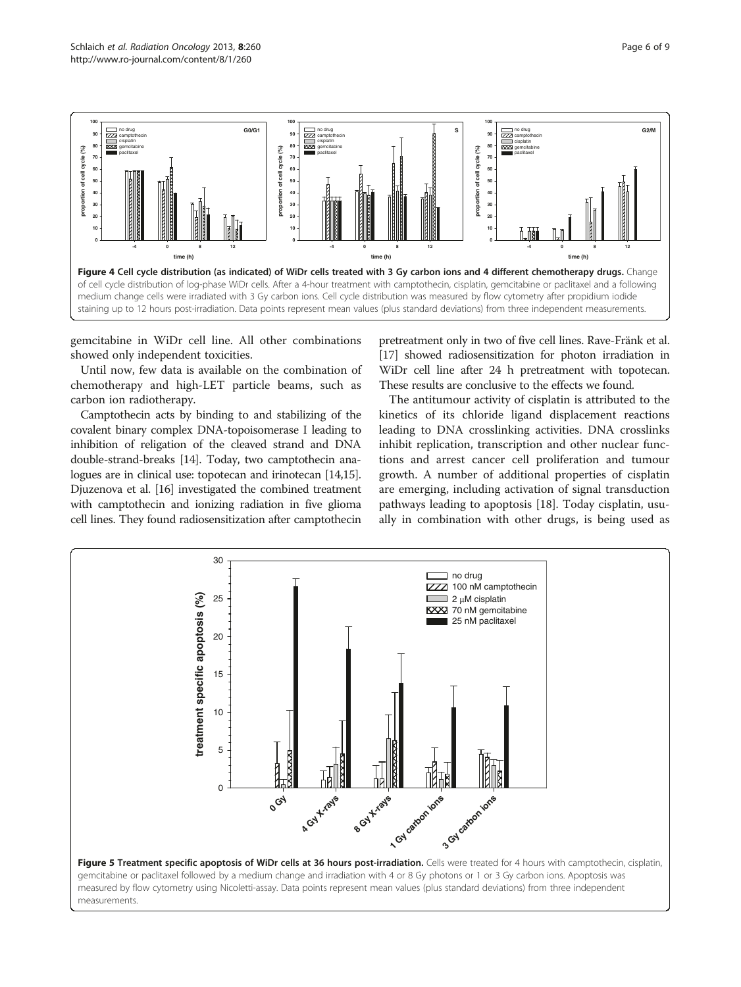<span id="page-5-0"></span>

gemcitabine in WiDr cell line. All other combinations showed only independent toxicities.

Until now, few data is available on the combination of chemotherapy and high-LET particle beams, such as carbon ion radiotherapy.

Camptothecin acts by binding to and stabilizing of the covalent binary complex DNA-topoisomerase I leading to inhibition of religation of the cleaved strand and DNA double-strand-breaks [[14](#page-7-0)]. Today, two camptothecin analogues are in clinical use: topotecan and irinotecan [\[14,15](#page-7-0)]. Djuzenova et al. [[16](#page-7-0)] investigated the combined treatment with camptothecin and ionizing radiation in five glioma cell lines. They found radiosensitization after camptothecin pretreatment only in two of five cell lines. Rave-Fränk et al. [[17](#page-7-0)] showed radiosensitization for photon irradiation in WiDr cell line after 24 h pretreatment with topotecan. These results are conclusive to the effects we found.

The antitumour activity of cisplatin is attributed to the kinetics of its chloride ligand displacement reactions leading to DNA crosslinking activities. DNA crosslinks inhibit replication, transcription and other nuclear functions and arrest cancer cell proliferation and tumour growth. A number of additional properties of cisplatin are emerging, including activation of signal transduction pathways leading to apoptosis [\[18\]](#page-7-0). Today cisplatin, usually in combination with other drugs, is being used as

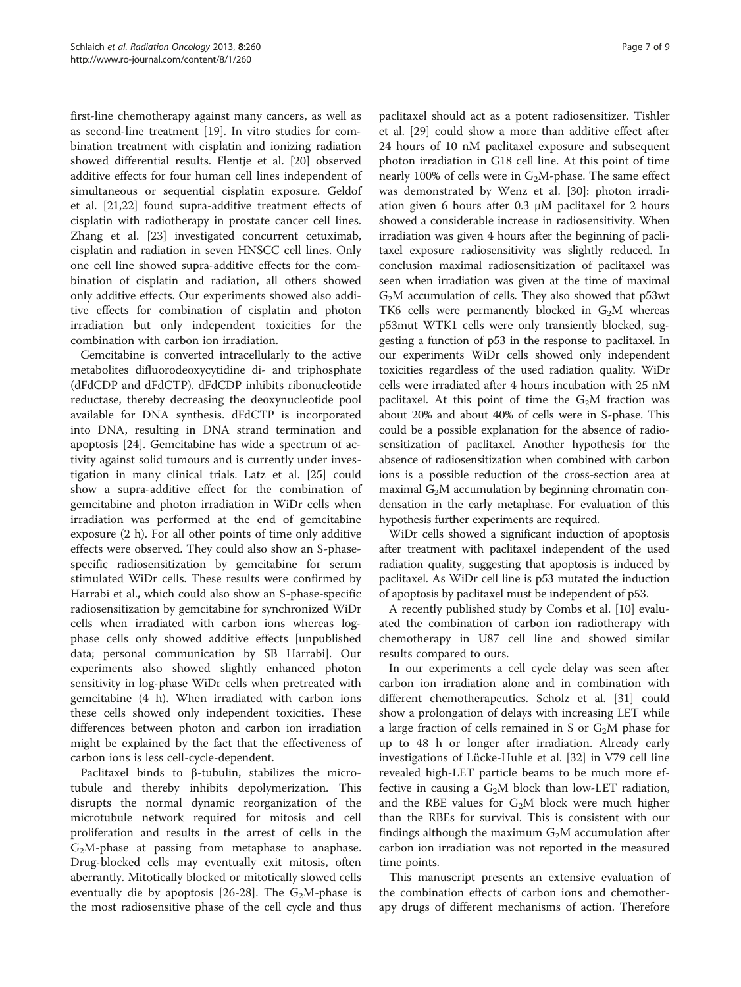first-line chemotherapy against many cancers, as well as as second-line treatment [[19\]](#page-7-0). In vitro studies for combination treatment with cisplatin and ionizing radiation showed differential results. Flentje et al. [\[20](#page-7-0)] observed additive effects for four human cell lines independent of simultaneous or sequential cisplatin exposure. Geldof et al. [[21,22\]](#page-7-0) found supra-additive treatment effects of cisplatin with radiotherapy in prostate cancer cell lines. Zhang et al. [\[23\]](#page-7-0) investigated concurrent cetuximab, cisplatin and radiation in seven HNSCC cell lines. Only one cell line showed supra-additive effects for the combination of cisplatin and radiation, all others showed only additive effects. Our experiments showed also additive effects for combination of cisplatin and photon irradiation but only independent toxicities for the combination with carbon ion irradiation.

Gemcitabine is converted intracellularly to the active metabolites difluorodeoxycytidine di- and triphosphate (dFdCDP and dFdCTP). dFdCDP inhibits ribonucleotide reductase, thereby decreasing the deoxynucleotide pool available for DNA synthesis. dFdCTP is incorporated into DNA, resulting in DNA strand termination and apoptosis [[24\]](#page-7-0). Gemcitabine has wide a spectrum of activity against solid tumours and is currently under investigation in many clinical trials. Latz et al. [[25](#page-7-0)] could show a supra-additive effect for the combination of gemcitabine and photon irradiation in WiDr cells when irradiation was performed at the end of gemcitabine exposure (2 h). For all other points of time only additive effects were observed. They could also show an S-phasespecific radiosensitization by gemcitabine for serum stimulated WiDr cells. These results were confirmed by Harrabi et al., which could also show an S-phase-specific radiosensitization by gemcitabine for synchronized WiDr cells when irradiated with carbon ions whereas logphase cells only showed additive effects [unpublished data; personal communication by SB Harrabi]. Our experiments also showed slightly enhanced photon sensitivity in log-phase WiDr cells when pretreated with gemcitabine (4 h). When irradiated with carbon ions these cells showed only independent toxicities. These differences between photon and carbon ion irradiation might be explained by the fact that the effectiveness of carbon ions is less cell-cycle-dependent.

Paclitaxel binds to β-tubulin, stabilizes the microtubule and thereby inhibits depolymerization. This disrupts the normal dynamic reorganization of the microtubule network required for mitosis and cell proliferation and results in the arrest of cells in the  $G<sub>2</sub>M$ -phase at passing from metaphase to anaphase. Drug-blocked cells may eventually exit mitosis, often aberrantly. Mitotically blocked or mitotically slowed cells eventually die by apoptosis [\[26](#page-7-0)-[28](#page-7-0)]. The  $G_2M$ -phase is the most radiosensitive phase of the cell cycle and thus

paclitaxel should act as a potent radiosensitizer. Tishler et al. [[29](#page-7-0)] could show a more than additive effect after 24 hours of 10 nM paclitaxel exposure and subsequent photon irradiation in G18 cell line. At this point of time nearly 100% of cells were in  $G_2M$ -phase. The same effect was demonstrated by Wenz et al. [[30](#page-7-0)]: photon irradiation given 6 hours after 0.3 μM paclitaxel for 2 hours showed a considerable increase in radiosensitivity. When irradiation was given 4 hours after the beginning of paclitaxel exposure radiosensitivity was slightly reduced. In conclusion maximal radiosensitization of paclitaxel was seen when irradiation was given at the time of maximal  $G<sub>2</sub>M$  accumulation of cells. They also showed that  $p53wt$ TK6 cells were permanently blocked in  $G_2M$  whereas p53mut WTK1 cells were only transiently blocked, suggesting a function of p53 in the response to paclitaxel. In our experiments WiDr cells showed only independent toxicities regardless of the used radiation quality. WiDr cells were irradiated after 4 hours incubation with 25 nM paclitaxel. At this point of time the  $G<sub>2</sub>M$  fraction was about 20% and about 40% of cells were in S-phase. This could be a possible explanation for the absence of radiosensitization of paclitaxel. Another hypothesis for the absence of radiosensitization when combined with carbon ions is a possible reduction of the cross-section area at maximal  $G<sub>2</sub>M$  accumulation by beginning chromatin condensation in the early metaphase. For evaluation of this hypothesis further experiments are required.

WiDr cells showed a significant induction of apoptosis after treatment with paclitaxel independent of the used radiation quality, suggesting that apoptosis is induced by paclitaxel. As WiDr cell line is p53 mutated the induction of apoptosis by paclitaxel must be independent of p53.

A recently published study by Combs et al. [[10](#page-7-0)] evaluated the combination of carbon ion radiotherapy with chemotherapy in U87 cell line and showed similar results compared to ours.

In our experiments a cell cycle delay was seen after carbon ion irradiation alone and in combination with different chemotherapeutics. Scholz et al. [[31](#page-8-0)] could show a prolongation of delays with increasing LET while a large fraction of cells remained in S or  $G_2M$  phase for up to 48 h or longer after irradiation. Already early investigations of Lücke-Huhle et al. [\[32](#page-8-0)] in V79 cell line revealed high-LET particle beams to be much more effective in causing a  $G_2M$  block than low-LET radiation, and the RBE values for  $G_2M$  block were much higher than the RBEs for survival. This is consistent with our findings although the maximum  $G_2M$  accumulation after carbon ion irradiation was not reported in the measured time points.

This manuscript presents an extensive evaluation of the combination effects of carbon ions and chemotherapy drugs of different mechanisms of action. Therefore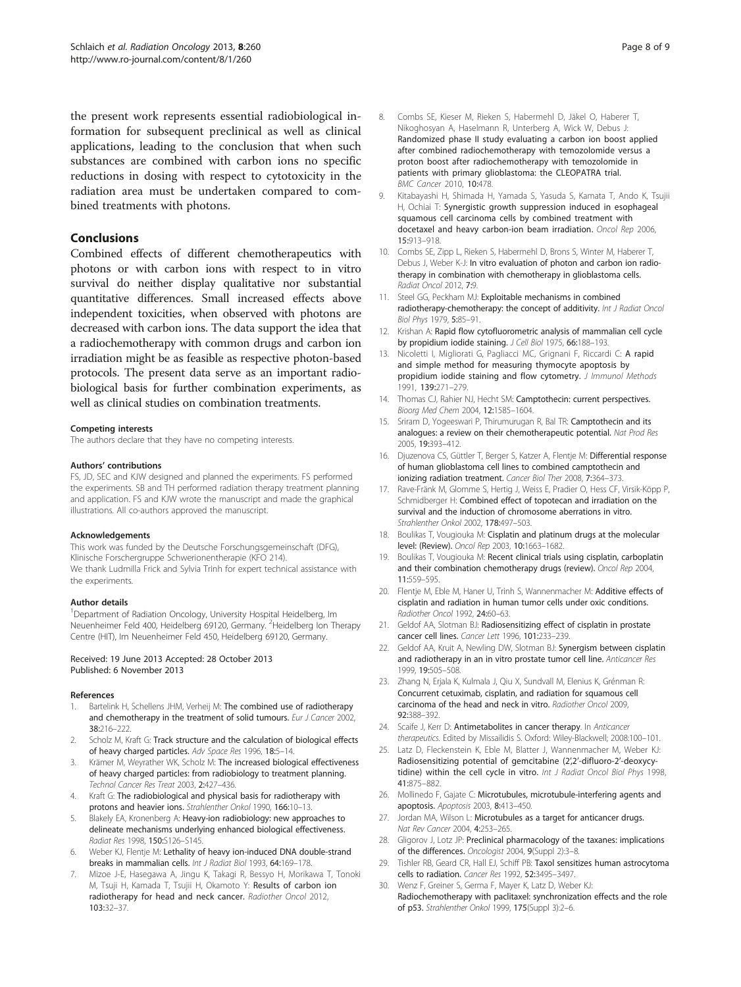<span id="page-7-0"></span>the present work represents essential radiobiological information for subsequent preclinical as well as clinical applications, leading to the conclusion that when such substances are combined with carbon ions no specific reductions in dosing with respect to cytotoxicity in the radiation area must be undertaken compared to combined treatments with photons.

# **Conclusions**

Combined effects of different chemotherapeutics with photons or with carbon ions with respect to in vitro survival do neither display qualitative nor substantial quantitative differences. Small increased effects above independent toxicities, when observed with photons are decreased with carbon ions. The data support the idea that a radiochemotherapy with common drugs and carbon ion irradiation might be as feasible as respective photon-based protocols. The present data serve as an important radiobiological basis for further combination experiments, as well as clinical studies on combination treatments.

#### Competing interests

The authors declare that they have no competing interests.

#### Authors' contributions

FS, JD, SEC and KJW designed and planned the experiments. FS performed the experiments. SB and TH performed radiation therapy treatment planning and application. FS and KJW wrote the manuscript and made the graphical illustrations. All co-authors approved the manuscript.

#### Acknowledgements

This work was funded by the Deutsche Forschungsgemeinschaft (DFG), Klinische Forschergruppe Schwerionentherapie (KFO 214). We thank Ludmilla Frick and Sylvia Trinh for expert technical assistance with the experiments.

#### Author details

<sup>1</sup>Department of Radiation Oncology, University Hospital Heidelberg, Im Neuenheimer Feld 400, Heidelberg 69120, Germany. <sup>2</sup>Heidelberg Ion Therapy Centre (HIT), Im Neuenheimer Feld 450, Heidelberg 69120, Germany.

#### Received: 19 June 2013 Accepted: 28 October 2013 Published: 6 November 2013

#### References

- Bartelink H, Schellens JHM, Verheij M: The combined use of radiotherapy and chemotherapy in the treatment of solid tumours. Eur J Cancer 2002, 38:216–222.
- 2. Scholz M, Kraft G: Track structure and the calculation of biological effects of heavy charged particles. Adv Space Res 1996, 18:5–14.
- Krämer M, Weyrather WK, Scholz M: The increased biological effectiveness of heavy charged particles: from radiobiology to treatment planning. Technol Cancer Res Treat 2003, 2:427–436.
- 4. Kraft G: The radiobiological and physical basis for radiotherapy with protons and heavier ions. Strahlenther Onkol 1990, 166:10–13.
- Blakely EA, Kronenberg A: Heavy-ion radiobiology: new approaches to delineate mechanisms underlying enhanced biological effectiveness. Radiat Res 1998, 150:S126–S145.
- 6. Weber KJ, Flentje M: Lethality of heavy ion-induced DNA double-strand breaks in mammalian cells. Int J Radiat Biol 1993, 64:169–178.
- 7. Mizoe J-E, Hasegawa A, Jingu K, Takagi R, Bessyo H, Morikawa T, Tonoki M, Tsuji H, Kamada T, Tsujii H, Okamoto Y: Results of carbon ion radiotherapy for head and neck cancer. Radiother Oncol 2012, 103:32–37.
- 8. Combs SE, Kieser M, Rieken S, Habermehl D, Jäkel O, Haberer T, Nikoghosyan A, Haselmann R, Unterberg A, Wick W, Debus J: Randomized phase II study evaluating a carbon ion boost applied after combined radiochemotherapy with temozolomide versus a proton boost after radiochemotherapy with temozolomide in patients with primary glioblastoma: the CLEOPATRA trial. BMC Cancer 2010, 10:478.
- 9. Kitabayashi H, Shimada H, Yamada S, Yasuda S, Kamata T, Ando K, Tsujii H, Ochiai T: Synergistic growth suppression induced in esophageal squamous cell carcinoma cells by combined treatment with docetaxel and heavy carbon-ion beam irradiation. Oncol Rep 2006, 15:913–918.
- 10. Combs SE, Zipp L, Rieken S, Habermehl D, Brons S, Winter M, Haberer T, Debus J, Weber K-J: In vitro evaluation of photon and carbon ion radiotherapy in combination with chemotherapy in glioblastoma cells. Radiat Oncol 2012, 7:9.
- 11. Steel GG, Peckham MJ: Exploitable mechanisms in combined radiotherapy-chemotherapy: the concept of additivity. Int J Radiat Oncol Biol Phys 1979, 5:85–91.
- 12. Krishan A: Rapid flow cytofluorometric analysis of mammalian cell cycle by propidium iodide staining. J Cell Biol 1975, 66:188–193.
- 13. Nicoletti I, Migliorati G, Pagliacci MC, Grignani F, Riccardi C: A rapid and simple method for measuring thymocyte apoptosis by propidium iodide staining and flow cytometry. J Immunol Methods 1991, 139:271–279.
- 14. Thomas CJ, Rahier NJ, Hecht SM: Camptothecin: current perspectives. Bioorg Med Chem 2004, 12:1585–1604.
- 15. Sriram D, Yogeeswari P, Thirumurugan R, Bal TR: Camptothecin and its analogues: a review on their chemotherapeutic potential. Nat Prod Res 2005, 19:393–412.
- 16. Djuzenova CS, Güttler T, Berger S, Katzer A, Flentje M: Differential response of human glioblastoma cell lines to combined camptothecin and ionizing radiation treatment. Cancer Biol Ther 2008, 7:364–373.
- 17. Rave-Fränk M, Glomme S, Hertig J, Weiss E, Pradier O, Hess CF, Virsik-Köpp P, Schmidberger H: Combined effect of topotecan and irradiation on the survival and the induction of chromosome aberrations in vitro. Strahlenther Onkol 2002, 178:497–503.
- 18. Boulikas T, Vougiouka M: Cisplatin and platinum drugs at the molecular level: (Review). Oncol Rep 2003, 10:1663–1682.
- 19. Boulikas T, Vougiouka M: Recent clinical trials using cisplatin, carboplatin and their combination chemotherapy drugs (review). Oncol Rep 2004, 11:559–595.
- 20. Flentje M, Eble M, Haner U, Trinh S, Wannenmacher M: Additive effects of cisplatin and radiation in human tumor cells under oxic conditions. Radiother Oncol 1992, 24:60–63.
- 21. Geldof AA, Slotman BJ: Radiosensitizing effect of cisplatin in prostate cancer cell lines. Cancer Lett 1996, 101:233–239.
- 22. Geldof AA, Kruit A, Newling DW, Slotman BJ: Synergism between cisplatin and radiotherapy in an in vitro prostate tumor cell line. Anticancer Res 1999, 19:505–508.
- 23. Zhang N, Erjala K, Kulmala J, Qiu X, Sundvall M, Elenius K, Grénman R: Concurrent cetuximab, cisplatin, and radiation for squamous cell carcinoma of the head and neck in vitro. Radiother Oncol 2009, 92:388–392.
- 24. Scaife J, Kerr D: Antimetabolites in cancer therapy. In Anticancer therapeutics. Edited by Missailidis S. Oxford: Wiley-Blackwell; 2008:100–101.
- 25. Latz D, Fleckenstein K, Eble M, Blatter J, Wannenmacher M, Weber KJ: Radiosensitizing potential of gemcitabine (2',2'-difluoro-2'-deoxycytidine) within the cell cycle in vitro. Int J Radiat Oncol Biol Phys 1998, 41:875–882.
- 26. Mollinedo F, Gajate C: Microtubules, microtubule-interfering agents and apoptosis. Apoptosis 2003, 8:413–450.
- 27. Jordan MA, Wilson L: Microtubules as a target for anticancer drugs. Nat Rev Cancer 2004, 4:253–265.
- 28. Gligorov J, Lotz JP: Preclinical pharmacology of the taxanes: implications of the differences. Oncologist 2004, 9(Suppl 2):3–8.
- 29. Tishler RB, Geard CR, Hall EJ, Schiff PB: Taxol sensitizes human astrocytoma cells to radiation. Cancer Res 1992, 52:3495–3497. 30. Wenz F, Greiner S, Germa F, Mayer K, Latz D, Weber KJ:
- Radiochemotherapy with paclitaxel: synchronization effects and the role of p53. Strahlenther Onkol 1999, 175(Suppl 3):2–6.